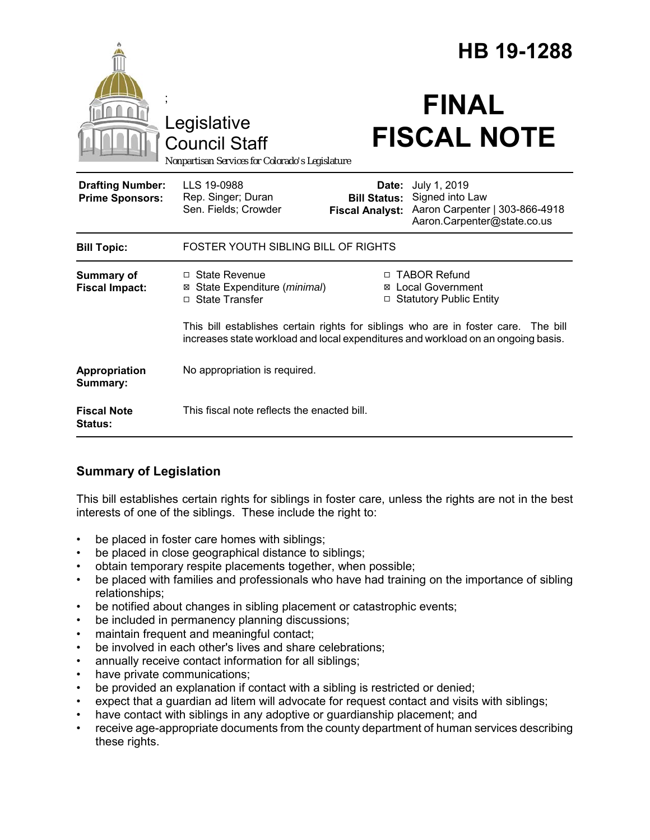|                                                   |                                                                                                                                                                         | HB 19-1288                                             |                                                                                                  |
|---------------------------------------------------|-------------------------------------------------------------------------------------------------------------------------------------------------------------------------|--------------------------------------------------------|--------------------------------------------------------------------------------------------------|
|                                                   | Legislative<br><b>Council Staff</b><br>Nonpartisan Services for Colorado's Legislature                                                                                  |                                                        | <b>FINAL</b><br><b>FISCAL NOTE</b>                                                               |
| <b>Drafting Number:</b><br><b>Prime Sponsors:</b> | LLS 19-0988<br>Rep. Singer; Duran<br>Sen. Fields; Crowder                                                                                                               | Date:<br><b>Bill Status:</b><br><b>Fiscal Analyst:</b> | July 1, 2019<br>Signed into Law<br>Aaron Carpenter   303-866-4918<br>Aaron.Carpenter@state.co.us |
| <b>Bill Topic:</b>                                | FOSTER YOUTH SIBLING BILL OF RIGHTS                                                                                                                                     |                                                        |                                                                                                  |
| Summary of<br><b>Fiscal Impact:</b>               | $\Box$ State Revenue<br>⊠ State Expenditure (minimal)<br>□ State Transfer                                                                                               |                                                        | □ TABOR Refund<br>⊠ Local Government<br>□ Statutory Public Entity                                |
|                                                   | This bill establishes certain rights for siblings who are in foster care. The bill<br>increases state workload and local expenditures and workload on an ongoing basis. |                                                        |                                                                                                  |
| Appropriation<br>Summary:                         | No appropriation is required.                                                                                                                                           |                                                        |                                                                                                  |
| <b>Fiscal Note</b><br><b>Status:</b>              | This fiscal note reflects the enacted bill.                                                                                                                             |                                                        |                                                                                                  |

# **Summary of Legislation**

This bill establishes certain rights for siblings in foster care, unless the rights are not in the best interests of one of the siblings. These include the right to:

- be placed in foster care homes with siblings;
- be placed in close geographical distance to siblings;
- obtain temporary respite placements together, when possible;
- be placed with families and professionals who have had training on the importance of sibling relationships;
- be notified about changes in sibling placement or catastrophic events;
- be included in permanency planning discussions;
- maintain frequent and meaningful contact;
- be involved in each other's lives and share celebrations;
- annually receive contact information for all siblings;
- have private communications;
- be provided an explanation if contact with a sibling is restricted or denied;
- expect that a guardian ad litem will advocate for request contact and visits with siblings;
- have contact with siblings in any adoptive or guardianship placement; and
- receive age-appropriate documents from the county department of human services describing these rights.